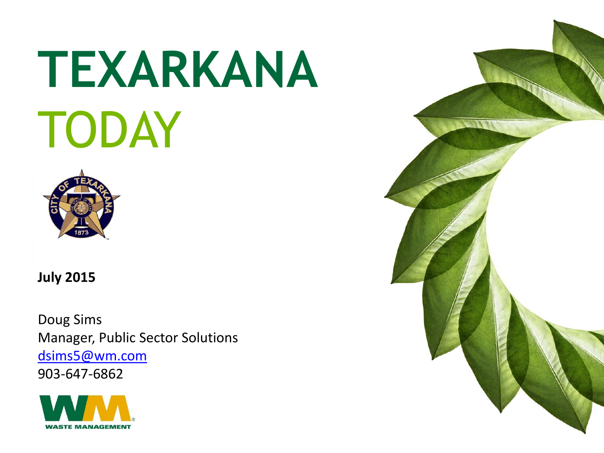# **TEXARKANA** TODAY



**July 2015**

Doug Sims Manager, Public Sector Solutions [dsims5@wm.com](mailto:dsims5@wm.com) 903-647-6862



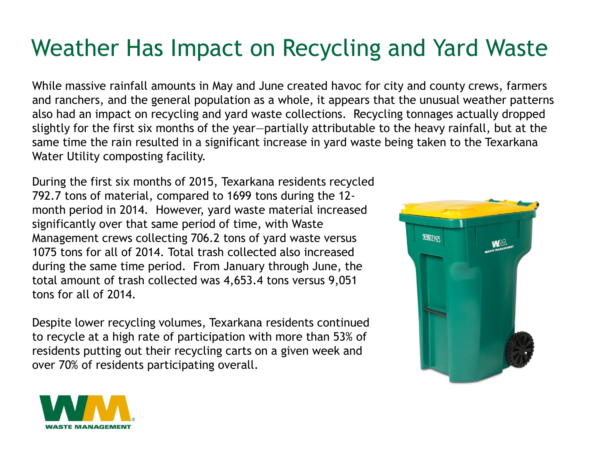## Weather Has Impact on Recycling and Yard Waste

While massive rainfall amounts in May and June created havoc for city and county crews, farmers and ranchers, and the general population as a whole, it appears that the unusual weather patterns also had an impact on recycling and yard waste collections. Recycling tonnages actually dropped slightly for the first six months of the year—partially attributable to the heavy rainfall, but at the same time the rain resulted in a significant increase in yard waste being taken to the Texarkana Water Utility composting facility.

During the first six months of 2015, Texarkana residents recycled 792.7 tons of material, compared to 1699 tons during the 12 month period in 2014. However, yard waste material increased significantly over that same period of time, with Waste Management crews collecting 706.2 tons of yard waste versus 1075 tons for all of 2014. Total trash collected also increased during the same time period. From January through June, the total amount of trash collected was 4,653.4 tons versus 9,051 tons for all of 2014.

Despite lower recycling volumes, Texarkana residents continued to recycle at a high rate of participation with more than 53% of residents putting out their recycling carts on a given week and over 70% of residents participating overall.



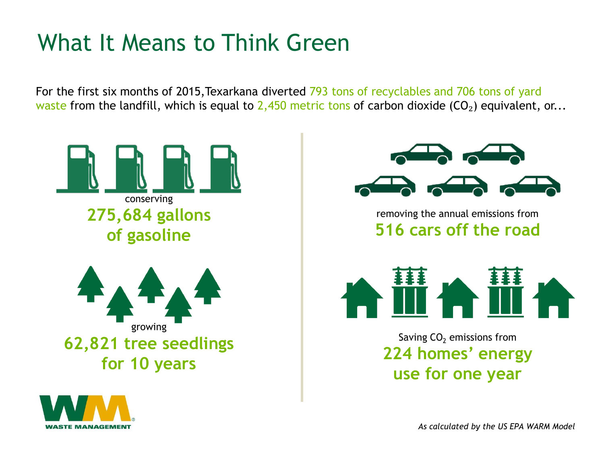## What It Means to Think Green

For the first six months of 2015,Texarkana diverted 793 tons of recyclables and 706 tons of yard waste from the landfill, which is equal to  $2,450$  metric tons of carbon dioxide (CO<sub>2</sub>) equivalent, or...





removing the annual emissions from **516 cars off the road**



Saving  $CO<sub>2</sub>$  emissions from **224 homes' energy use for one year**

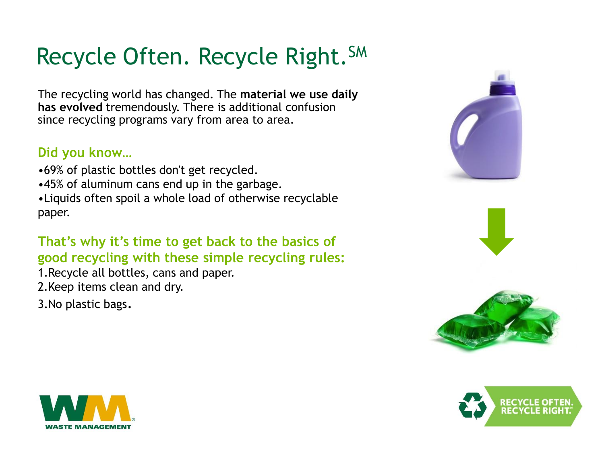# Recycle Often. Recycle Right. SM

The recycling world has changed. The **material we use daily has evolved** tremendously. There is additional confusion since recycling programs vary from area to area.

#### **Did you know…**

- •69% of plastic bottles don't get recycled.
- •45% of aluminum cans end up in the garbage.

•Liquids often spoil a whole load of otherwise recyclable paper.

**That's why it's time to get back to the basics of good recycling with these simple recycling rules:**

1.Recycle all bottles, cans and paper.

2.Keep items clean and dry.

3.No plastic bags.





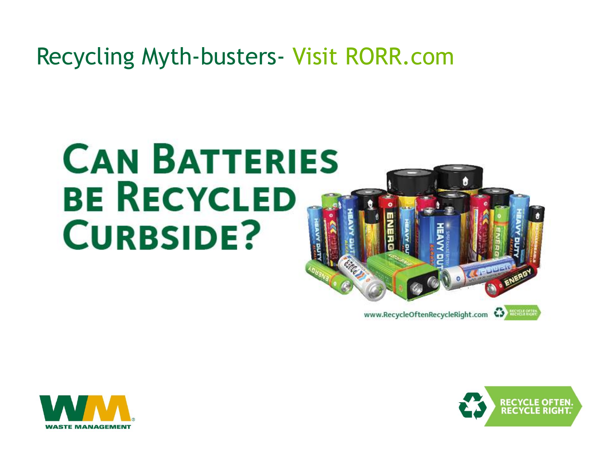#### Recycling Myth-busters- Visit RORR.com



www.RecycleOftenRecycleRight.com



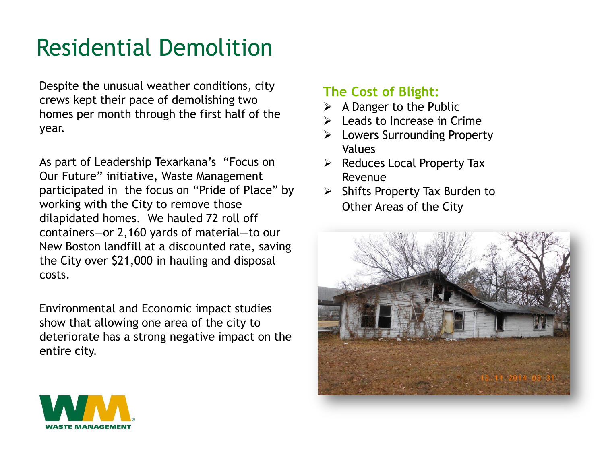### Residential Demolition

Despite the unusual weather conditions, city crews kept their pace of demolishing two homes per month through the first half of the year.

As part of Leadership Texarkana's "Focus on Our Future" initiative, Waste Management participated in the focus on "Pride of Place" by working with the City to remove those dilapidated homes. We hauled 72 roll off containers—or 2,160 yards of material—to our New Boston landfill at a discounted rate, saving the City over \$21,000 in hauling and disposal costs.

Environmental and Economic impact studies show that allowing one area of the city to deteriorate has a strong negative impact on the entire city.

#### **The Cost of Blight:**

- $\triangleright$  A Danger to the Public
- $\triangleright$  Leads to Increase in Crime
- Lowers Surrounding Property Values
- $\triangleright$  Reduces Local Property Tax Revenue
- $\triangleright$  Shifts Property Tax Burden to Other Areas of the City



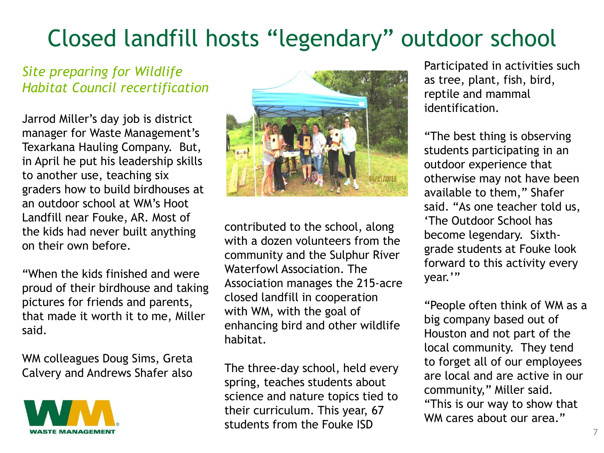## Closed landfill hosts "legendary" outdoor school

#### *Site preparing for Wildlife Habitat Council recertification*

Jarrod Miller's day job is district manager for Waste Management's Texarkana Hauling Company. But, in April he put his leadership skills to another use, teaching six graders how to build birdhouses at an outdoor school at WM's Hoot Landfill near Fouke, AR. Most of the kids had never built anything on their own before.

"When the kids finished and were proud of their birdhouse and taking pictures for friends and parents, that made it worth it to me, Miller said.

WM colleagues Doug Sims, Greta Calvery and Andrews Shafer also





contributed to the school, along with a dozen volunteers from the community and the Sulphur River Waterfowl Association. The Association manages the 215-acre closed landfill in cooperation with WM, with the goal of enhancing bird and other wildlife habitat.

The three-day school, held every spring, teaches students about science and nature topics tied to their curriculum. This year, 67 students from the Fouke ISD

Participated in activities such as tree, plant, fish, bird, reptile and mammal identification.

"The best thing is observing students participating in an outdoor experience that otherwise may not have been available to them," Shafer said. "As one teacher told us, 'The Outdoor School has become legendary. Sixthgrade students at Fouke look forward to this activity every year.'"

"People often think of WM as a big company based out of Houston and not part of the local community. They tend to forget all of our employees are local and are active in our community," Miller said. "This is our way to show that WM cares about our area."